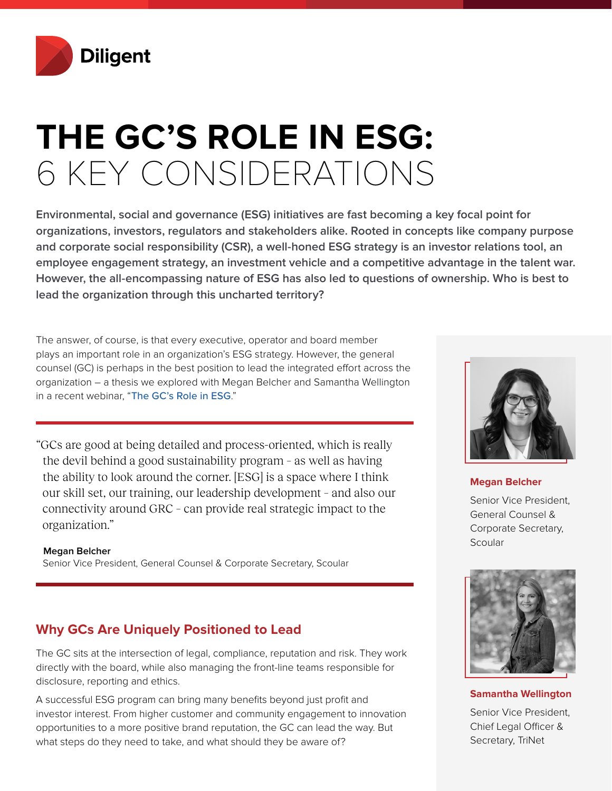

# **THE GC'S ROLE IN ESG:**  6 KEY CONSIDERATIONS

**Environmental, social and governance (ESG) initiatives are fast becoming a key focal point for organizations, investors, regulators and stakeholders alike. Rooted in concepts like company purpose and corporate social responsibility (CSR), a well-honed ESG strategy is an investor relations tool, an employee engagement strategy, an investment vehicle and a competitive advantage in the talent war. However, the all-encompassing nature of ESG has also led to questions of ownership. Who is best to lead the organization through this uncharted territory?**

The answer, of course, is that every executive, operator and board member plays an important role in an organization's ESG strategy. However, the general counsel (GC) is perhaps in the best position to lead the integrated effort across the organization – a thesis we explored with Megan Belcher and Samantha Wellington in a recent webinar, "[The GC's Role in ESG](https://diligent.com/the-gcs-role-in-esg)."

"GCs are good at being detailed and process-oriented, which is really the devil behind a good sustainability program – as well as having the ability to look around the corner. [ESG] is a space where I think our skill set, our training, our leadership development – and also our connectivity around GRC – can provide real strategic impact to the organization."

**Megan Belcher** Senior Vice President, General Counsel & Corporate Secretary, Scoular

# **Why GCs Are Uniquely Positioned to Lead**

The GC sits at the intersection of legal, compliance, reputation and risk. They work directly with the board, while also managing the front-line teams responsible for disclosure, reporting and ethics.

A successful ESG program can bring many benefits beyond just profit and investor interest. From higher customer and community engagement to innovation opportunities to a more positive brand reputation, the GC can lead the way. But what steps do they need to take, and what should they be aware of?



### **Megan Belcher**

Senior Vice President, General Counsel & Corporate Secretary, **Scoular** 



### **Samantha Wellington**

Senior Vice President, Chief Legal Officer & Secretary, TriNet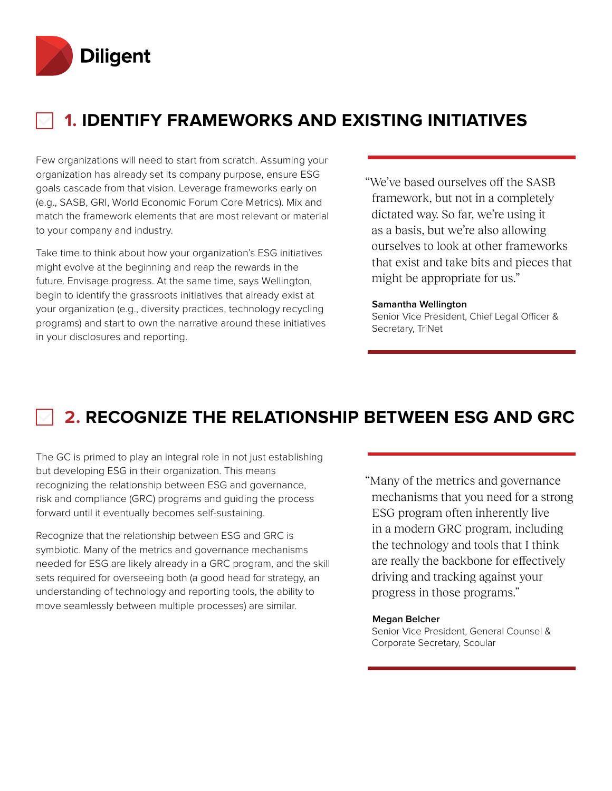

# **1. IDENTIFY FRAMEWORKS AND EXISTING INITIATIVES**

Few organizations will need to start from scratch. Assuming your organization has already set its company purpose, ensure ESG goals cascade from that vision. Leverage frameworks early on (e.g., SASB, GRI, World Economic Forum Core Metrics). Mix and match the framework elements that are most relevant or material to your company and industry.

Take time to think about how your organization's ESG initiatives might evolve at the beginning and reap the rewards in the future. Envisage progress. At the same time, says Wellington, begin to identify the grassroots initiatives that already exist at your organization (e.g., diversity practices, technology recycling programs) and start to own the narrative around these initiatives in your disclosures and reporting.

"We've based ourselves off the SASB framework, but not in a completely dictated way. So far, we're using it as a basis, but we're also allowing ourselves to look at other frameworks that exist and take bits and pieces that might be appropriate for us."

#### **Samantha Wellington**

Senior Vice President, Chief Legal Officer & Secretary, TriNet

# **2. RECOGNIZE THE RELATIONSHIP BETWEEN ESG AND GRC**

The GC is primed to play an integral role in not just establishing but developing ESG in their organization. This means recognizing the relationship between ESG and governance, risk and compliance (GRC) programs and guiding the process forward until it eventually becomes self-sustaining.

Recognize that the relationship between ESG and GRC is symbiotic. Many of the metrics and governance mechanisms needed for ESG are likely already in a GRC program, and the skill sets required for overseeing both (a good head for strategy, an understanding of technology and reporting tools, the ability to move seamlessly between multiple processes) are similar.

"Many of the metrics and governance mechanisms that you need for a strong ESG program often inherently live in a modern GRC program, including the technology and tools that I think are really the backbone for effectively driving and tracking against your progress in those programs."

#### **Megan Belcher**

Senior Vice President, General Counsel & Corporate Secretary, Scoular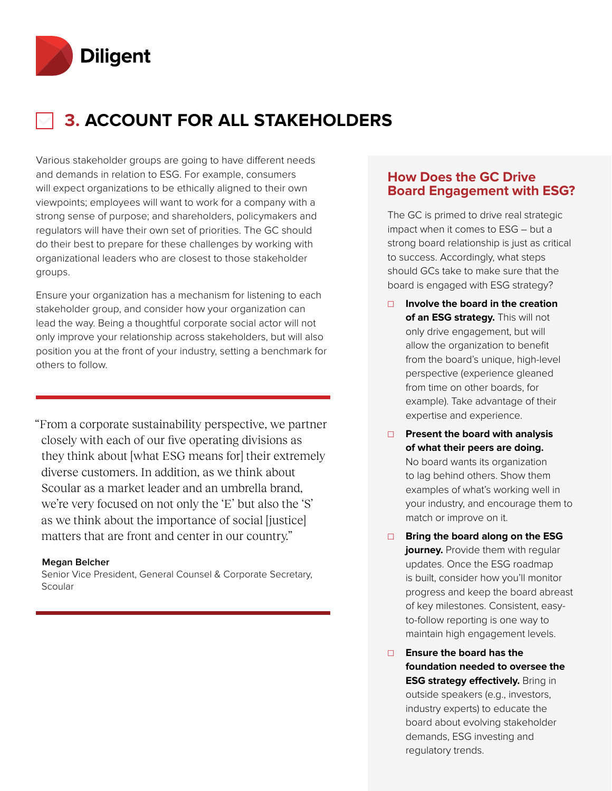

# **3. ACCOUNT FOR ALL STAKEHOLDERS**

Various stakeholder groups are going to have different needs and demands in relation to ESG. For example, consumers will expect organizations to be ethically aligned to their own viewpoints; employees will want to work for a company with a strong sense of purpose; and shareholders, policymakers and regulators will have their own set of priorities. The GC should do their best to prepare for these challenges by working with organizational leaders who are closest to those stakeholder groups.

Ensure your organization has a mechanism for listening to each stakeholder group, and consider how your organization can lead the way. Being a thoughtful corporate social actor will not only improve your relationship across stakeholders, but will also position you at the front of your industry, setting a benchmark for others to follow.

"From a corporate sustainability perspective, we partner closely with each of our five operating divisions as they think about [what ESG means for] their extremely diverse customers. In addition, as we think about Scoular as a market leader and an umbrella brand, we're very focused on not only the 'E' but also the 'S' as we think about the importance of social [justice] matters that are front and center in our country."

### **Megan Belcher**

Senior Vice President, General Counsel & Corporate Secretary, Scoular

# **How Does the GC Drive Board Engagement with ESG?**

The GC is primed to drive real strategic impact when it comes to ESG – but a strong board relationship is just as critical to success. Accordingly, what steps should GCs take to make sure that the board is engaged with ESG strategy?

- ☐ **Involve the board in the creation of an ESG strategy.** This will not only drive engagement, but will allow the organization to benefit from the board's unique, high-level perspective (experience gleaned from time on other boards, for example). Take advantage of their expertise and experience.
- ☐ **Present the board with analysis of what their peers are doing.** No board wants its organization to lag behind others. Show them examples of what's working well in your industry, and encourage them to match or improve on it.
- ☐ **Bring the board along on the ESG journey.** Provide them with regular updates. Once the ESG roadmap is built, consider how you'll monitor progress and keep the board abreast of key milestones. Consistent, easyto-follow reporting is one way to maintain high engagement levels.
- ☐ **Ensure the board has the foundation needed to oversee the ESG strategy effectively.** Bring in outside speakers (e.g., investors, industry experts) to educate the board about evolving stakeholder demands, ESG investing and regulatory trends.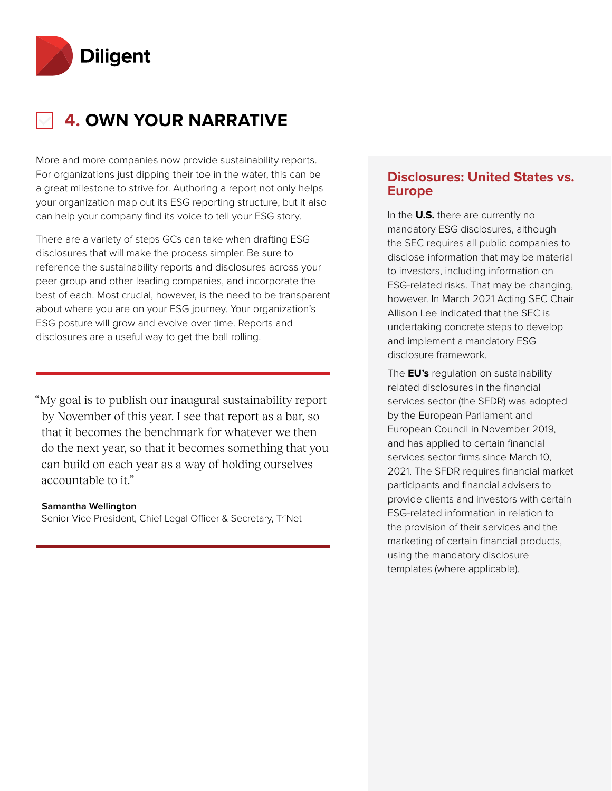

# **4. OWN YOUR NARRATIVE**

More and more companies now provide sustainability reports. For organizations just dipping their toe in the water, this can be a great milestone to strive for. Authoring a report not only helps your organization map out its ESG reporting structure, but it also can help your company find its voice to tell your ESG story.

There are a variety of steps GCs can take when drafting ESG disclosures that will make the process simpler. Be sure to reference the sustainability reports and disclosures across your peer group and other leading companies, and incorporate the best of each. Most crucial, however, is the need to be transparent about where you are on your ESG journey. Your organization's ESG posture will grow and evolve over time. Reports and disclosures are a useful way to get the ball rolling.

"My goal is to publish our inaugural sustainability report by November of this year. I see that report as a bar, so that it becomes the benchmark for whatever we then do the next year, so that it becomes something that you can build on each year as a way of holding ourselves accountable to it."

### **Samantha Wellington**

Senior Vice President, Chief Legal Officer & Secretary, TriNet

# **Disclosures: United States vs. Europe**

In the **U.S.** there are currently no mandatory ESG disclosures, although the SEC requires all public companies to disclose information that may be material to investors, including information on ESG-related risks. That may be changing, however. In March 2021 Acting SEC Chair Allison Lee indicated that the SEC is undertaking concrete steps to develop and implement a mandatory ESG disclosure framework.

The **EU's** regulation on sustainability related disclosures in the financial services sector (the SFDR) was adopted by the European Parliament and European Council in November 2019, and has applied to certain financial services sector firms since March 10, 2021. The SFDR requires financial market participants and financial advisers to provide clients and investors with certain ESG-related information in relation to the provision of their services and the marketing of certain financial products, using the mandatory disclosure templates (where applicable).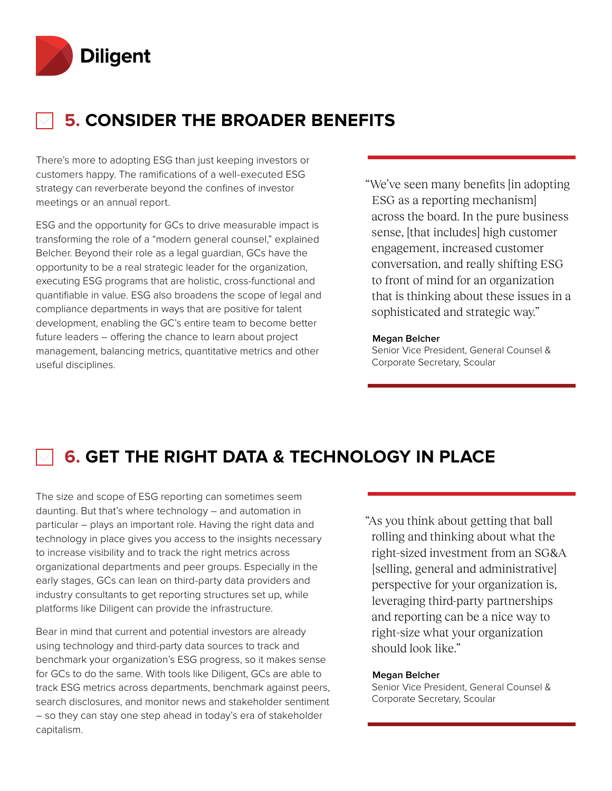

# **5. CONSIDER THE BROADER BENEFITS**

There's more to adopting ESG than just keeping investors or customers happy. The ramifications of a well-executed ESG strategy can reverberate beyond the confines of investor meetings or an annual report.

ESG and the opportunity for GCs to drive measurable impact is transforming the role of a "modern general counsel," explained Belcher. Beyond their role as a legal guardian, GCs have the opportunity to be a real strategic leader for the organization, executing ESG programs that are holistic, cross-functional and quantifiable in value. ESG also broadens the scope of legal and compliance departments in ways that are positive for talent development, enabling the GC's entire team to become better future leaders – offering the chance to learn about project management, balancing metrics, quantitative metrics and other useful disciplines.

"We've seen many benefits [in adopting ESG as a reporting mechanism] across the board. In the pure business sense, [that includes] high customer engagement, increased customer conversation, and really shifting ESG to front of mind for an organization that is thinking about these issues in a sophisticated and strategic way."

#### **Megan Belcher**

Senior Vice President, General Counsel & Corporate Secretary, Scoular

# **6. GET THE RIGHT DATA & TECHNOLOGY IN PLACE**

The size and scope of ESG reporting can sometimes seem daunting. But that's where technology – and automation in particular – plays an important role. Having the right data and technology in place gives you access to the insights necessary to increase visibility and to track the right metrics across organizational departments and peer groups. Especially in the early stages, GCs can lean on third-party data providers and industry consultants to get reporting structures set up, while platforms like Diligent can provide the infrastructure.

Bear in mind that current and potential investors are already using technology and third-party data sources to track and benchmark your organization's ESG progress, so it makes sense for GCs to do the same. With tools like Diligent, GCs are able to track ESG metrics across departments, benchmark against peers, search disclosures, and monitor news and stakeholder sentiment – so they can stay one step ahead in today's era of stakeholder capitalism.

"As you think about getting that ball rolling and thinking about what the right-sized investment from an SG&A [selling, general and administrative] perspective for your organization is, leveraging third-party partnerships and reporting can be a nice way to right-size what your organization should look like."

### **Megan Belcher**

Senior Vice President, General Counsel & Corporate Secretary, Scoular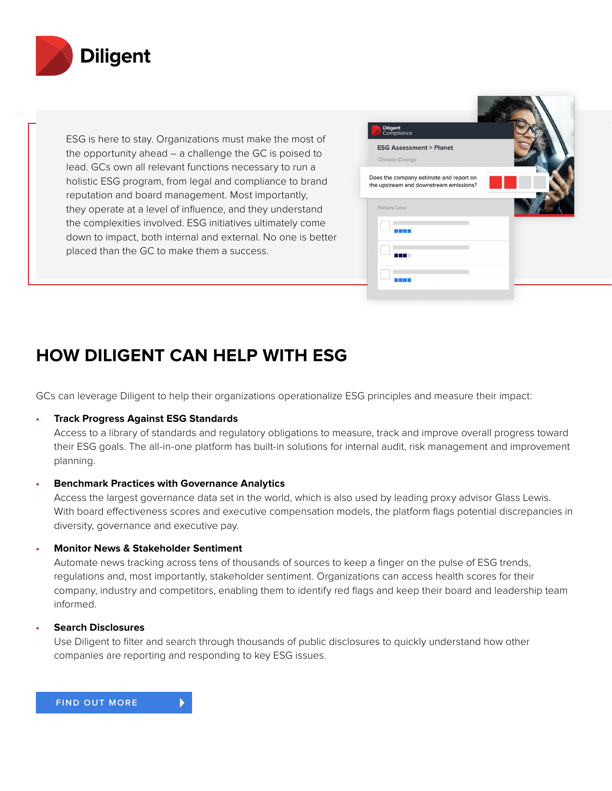

ESG is here to stay. Organizations must make the most of the opportunity ahead – a challenge the GC is poised to lead. GCs own all relevant functions necessary to run a holistic ESG program, from legal and compliance to brand reputation and board management. Most importantly, they operate at a level of influence, and they understand the complexities involved. ESG initiatives ultimately come down to impact, both internal and external. No one is better placed than the GC to make them a success.



# **HOW DILIGENT CAN HELP WITH ESG**

GCs can leverage Diligent to help their organizations operationalize ESG principles and measure their impact:

## **• Track Progress Against ESG Standards**

Access to a library of standards and regulatory obligations to measure, track and improve overall progress toward their ESG goals. The all-in-one platform has built-in solutions for internal audit, risk management and improvement planning.

## **• Benchmark Practices with Governance Analytics**

Access the largest governance data set in the world, which is also used by leading proxy advisor Glass Lewis. With board effectiveness scores and executive compensation models, the platform flags potential discrepancies in diversity, governance and executive pay.

### **• Monitor News & Stakeholder Sentiment**

Automate news tracking across tens of thousands of sources to keep a finger on the pulse of ESG trends, regulations and, most importantly, stakeholder sentiment. Organizations can access health scores for their company, industry and competitors, enabling them to identify red flags and keep their board and leadership team informed.

### **• Search Disclosures**

Use Diligent to filter and search through thousands of public disclosures to quickly understand how other companies are reporting and responding to key ESG issues.